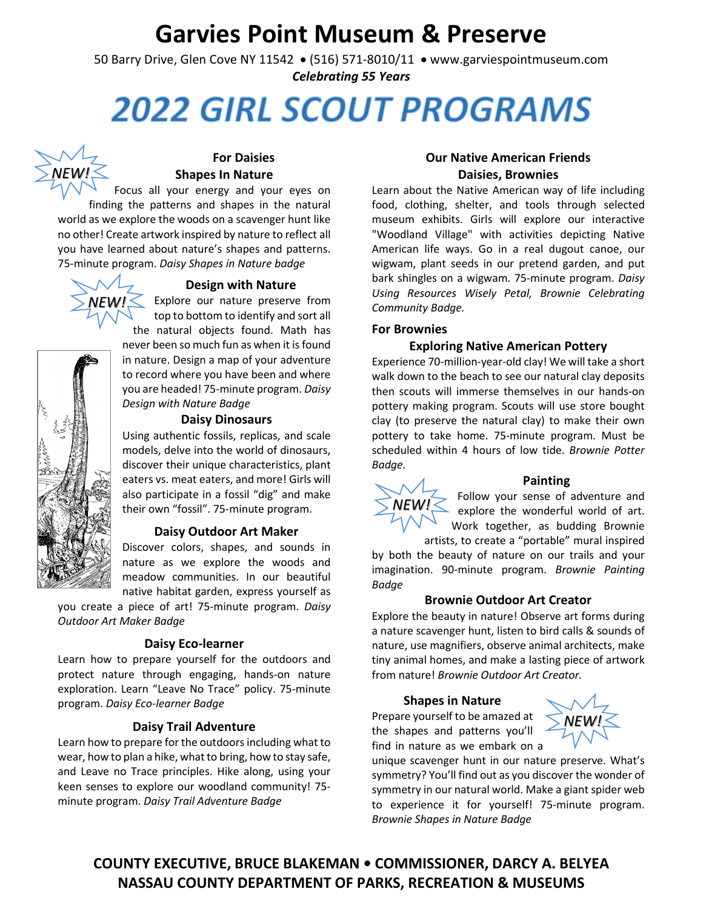## **Garvies Point Museum & Preserve**

50 Barry Drive, Glen Cove NY 11542 • (516) 571-8010/11 • [www.garviespointmuseum.com](http://www.garviespointmuseum.com/) *Celebrating 55 Years*

# **2022 GIRL SCOUT PROGRAMS**



#### **For Daisies Shapes In Nature**

Focus all your energy and your eyes on

finding the patterns and shapes in the natural world as we explore the woods on a scavenger hunt like no other! Create artwork inspired by nature to reflect all you have learned about nature's shapes and patterns. 75-minute program. *Daisy Shapes in Nature badge*



#### **Design with Nature**

Explore our nature preserve from top to bottom to identify and sort all the natural objects found. Math has never been so much fun as when it is found in nature. Design a map of your adventure to record where you have been and where you are headed! 75-minute program. *Daisy Design with Nature Badge*

#### **Daisy Dinosaurs**

Using authentic fossils, replicas, and scale models, delve into the world of dinosaurs, discover their unique characteristics, plant eaters vs. meat eaters, and more! Girls will also participate in a fossil "dig" and make their own "fossil". 75-minute program.

#### **Daisy Outdoor Art Maker**

Discover colors, shapes, and sounds in nature as we explore the woods and meadow communities. In our beautiful native habitat garden, express yourself as

you create a piece of art! 75-minute program. *Daisy Outdoor Art Maker Badge*

#### **Daisy Eco-learner**

Learn how to prepare yourself for the outdoors and protect nature through engaging, hands-on nature exploration. Learn "Leave No Trace" policy. 75-minute program. *Daisy Eco-learner Badge*

#### **Daisy Trail Adventure**

Learn how to prepare for the outdoors including what to wear, how to plan a hike, what to bring, how to stay safe, and Leave no Trace principles. Hike along, using your keen senses to explore our woodland community! 75 minute program. *Daisy Trail Adventure Badge*

#### **Our Native American Friends Daisies, Brownies**

Learn about the Native American way of life including food, clothing, shelter, and tools through selected museum exhibits. Girls will explore our interactive "Woodland Village" with activities depicting Native American life ways. Go in a real dugout canoe, our wigwam, plant seeds in our pretend garden, and put bark shingles on a wigwam. 75-minute program. *Daisy Using Resources Wisely Petal, Brownie Celebrating Community Badge.*

#### **For Brownies**

#### **Exploring Native American Pottery**

Experience 70-million-year-old clay! We will take a short walk down to the beach to see our natural clay deposits then scouts will immerse themselves in our hands-on pottery making program. Scouts will use store bought clay (to preserve the natural clay) to make their own pottery to take home. 75-minute program. Must be scheduled within 4 hours of low tide. *Brownie Potter Badge.*



Follow your sense of adventure and explore the wonderful world of art. Work together, as budding Brownie

*NEW!*

artists, to create a "portable" mural inspired by both the beauty of nature on our trails and your imagination. 90-minute program. *Brownie Painting Badge*

#### **Brownie Outdoor Art Creator**

Explore the beauty in nature! Observe art forms during a nature scavenger hunt, listen to bird calls & sounds of nature, use magnifiers, observe animal architects, make tiny animal homes, and make a lasting piece of artwork from nature! *Brownie Outdoor Art Creator.*

#### **Shapes in Nature**

Prepare yourself to be amazed at the shapes and patterns you'll find in nature as we embark on a

unique scavenger hunt in our nature preserve. What's symmetry? You'll find out as you discover the wonder of symmetry in our natural world. Make a giant spider web to experience it for yourself! 75-minute program. *Brownie Shapes in Nature Badge*



**Painting**